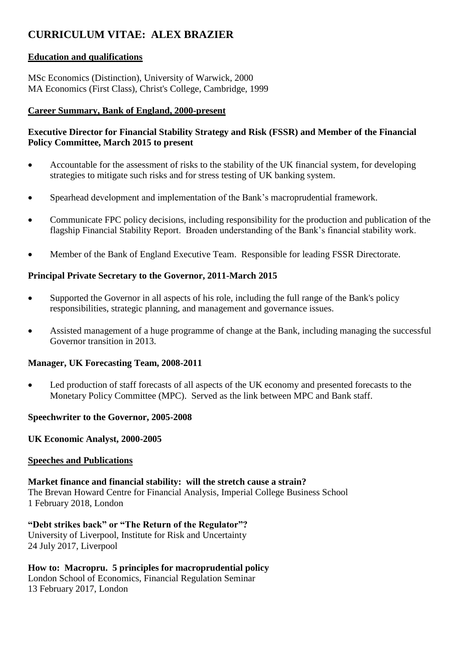# **CURRICULUM VITAE: ALEX BRAZIER**

#### **Education and qualifications**

MSc Economics (Distinction), University of Warwick, 2000 MA Economics (First Class), Christ's College, Cambridge, 1999

#### **Career Summary, Bank of England, 2000-present**

# **Executive Director for Financial Stability Strategy and Risk (FSSR) and Member of the Financial Policy Committee, March 2015 to present**

- Accountable for the assessment of risks to the stability of the UK financial system, for developing strategies to mitigate such risks and for stress testing of UK banking system.
- Spearhead development and implementation of the Bank's macroprudential framework.
- Communicate FPC policy decisions, including responsibility for the production and publication of the flagship Financial Stability Report. Broaden understanding of the Bank's financial stability work.
- Member of the Bank of England Executive Team. Responsible for leading FSSR Directorate.

# **Principal Private Secretary to the Governor, 2011-March 2015**

- Supported the Governor in all aspects of his role, including the full range of the Bank's policy responsibilities, strategic planning, and management and governance issues.
- Assisted management of a huge programme of change at the Bank, including managing the successful Governor transition in 2013.

# **Manager, UK Forecasting Team, 2008-2011**

 Led production of staff forecasts of all aspects of the UK economy and presented forecasts to the Monetary Policy Committee (MPC). Served as the link between MPC and Bank staff.

# **Speechwriter to the Governor, 2005-2008**

**UK Economic Analyst, 2000-2005**

#### **Speeches and Publications**

**Market finance and financial stability: will the stretch cause a strain?** The Brevan Howard Centre for Financial Analysis, Imperial College Business School 1 February 2018, London

**"Debt strikes back" or "The Return of the Regulator"?** University of Liverpool, Institute for Risk and Uncertainty 24 July 2017, Liverpool

**How to: Macropru. 5 principles for macroprudential policy** London School of Economics, Financial Regulation Seminar 13 February 2017, London